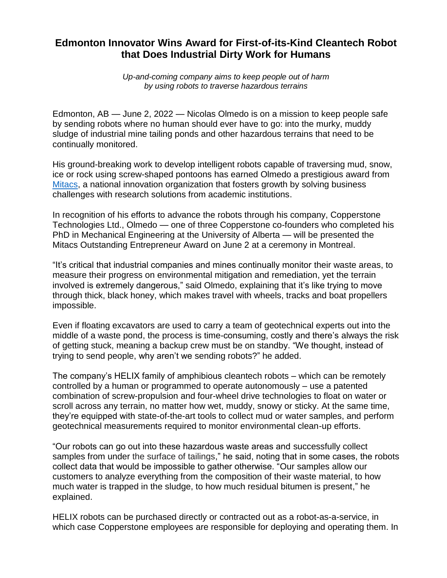## **Edmonton Innovator Wins Award for First-of-its-Kind Cleantech Robot that Does Industrial Dirty Work for Humans**

*Up-and-coming company aims to keep people out of harm by using robots to traverse hazardous terrains*

Edmonton, AB — June 2, 2022 — Nicolas Olmedo is on a mission to keep people safe by sending robots where no human should ever have to go: into the murky, muddy sludge of industrial mine tailing ponds and other hazardous terrains that need to be continually monitored.

His ground-breaking work to develop intelligent robots capable of traversing mud, snow, ice or rock using screw-shaped pontoons has earned Olmedo a prestigious award from [Mitacs,](http://www.mitacs.ca/) a national innovation organization that fosters growth by solving business challenges with research solutions from academic institutions.

In recognition of his efforts to advance the robots through his company, Copperstone Technologies Ltd., Olmedo — one of three Copperstone co-founders who completed his PhD in Mechanical Engineering at the University of Alberta — will be presented the Mitacs Outstanding Entrepreneur Award on June 2 at a ceremony in Montreal.

"It's critical that industrial companies and mines continually monitor their waste areas, to measure their progress on environmental mitigation and remediation, yet the terrain involved is extremely dangerous," said Olmedo, explaining that it's like trying to move through thick, black honey, which makes travel with wheels, tracks and boat propellers impossible.

Even if floating excavators are used to carry a team of geotechnical experts out into the middle of a waste pond, the process is time-consuming, costly and there's always the risk of getting stuck, meaning a backup crew must be on standby. "We thought, instead of trying to send people, why aren't we sending robots?" he added.

The company's HELIX family of amphibious cleantech robots – which can be remotely controlled by a human or programmed to operate autonomously – use a patented combination of screw-propulsion and four-wheel drive technologies to float on water or scroll across any terrain, no matter how wet, muddy, snowy or sticky. At the same time, they're equipped with state-of-the-art tools to collect mud or water samples, and perform geotechnical measurements required to monitor environmental clean-up efforts.

"Our robots can go out into these hazardous waste areas and successfully collect samples from under the surface of tailings," he said, noting that in some cases, the robots collect data that would be impossible to gather otherwise. "Our samples allow our customers to analyze everything from the composition of their waste material, to how much water is trapped in the sludge, to how much residual bitumen is present," he explained.

HELIX robots can be purchased directly or contracted out as a robot-as-a-service, in which case Copperstone employees are responsible for deploying and operating them. In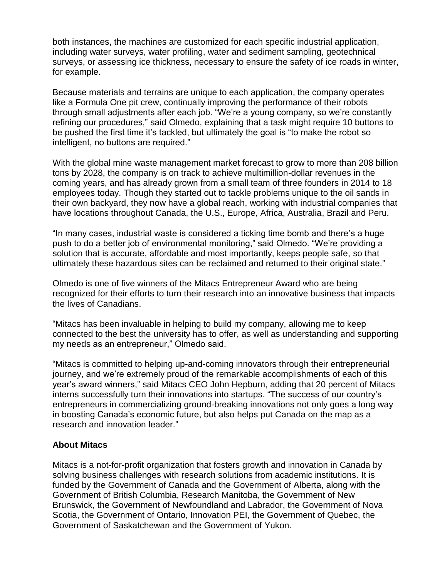both instances, the machines are customized for each specific industrial application, including water surveys, water profiling, water and sediment sampling, geotechnical surveys, or assessing ice thickness, necessary to ensure the safety of ice roads in winter, for example.

Because materials and terrains are unique to each application, the company operates like a Formula One pit crew, continually improving the performance of their robots through small adjustments after each job. "We're a young company, so we're constantly refining our procedures," said Olmedo, explaining that a task might require 10 buttons to be pushed the first time it's tackled, but ultimately the goal is "to make the robot so intelligent, no buttons are required."

With the global mine waste management market forecast to grow to more than 208 billion tons by 2028, the company is on track to achieve multimillion-dollar revenues in the coming years, and has already grown from a small team of three founders in 2014 to 18 employees today. Though they started out to tackle problems unique to the oil sands in their own backyard, they now have a global reach, working with industrial companies that have locations throughout Canada, the U.S., Europe, Africa, Australia, Brazil and Peru.

"In many cases, industrial waste is considered a ticking time bomb and there's a huge push to do a better job of environmental monitoring," said Olmedo. "We're providing a solution that is accurate, affordable and most importantly, keeps people safe, so that ultimately these hazardous sites can be reclaimed and returned to their original state."

Olmedo is one of five winners of the Mitacs Entrepreneur Award who are being recognized for their efforts to turn their research into an innovative business that impacts the lives of Canadians.

"Mitacs has been invaluable in helping to build my company, allowing me to keep connected to the best the university has to offer, as well as understanding and supporting my needs as an entrepreneur," Olmedo said.

"Mitacs is committed to helping up-and-coming innovators through their entrepreneurial journey, and we're extremely proud of the remarkable accomplishments of each of this year's award winners," said Mitacs CEO John Hepburn, adding that 20 percent of Mitacs interns successfully turn their innovations into startups. "The success of our country's entrepreneurs in commercializing ground-breaking innovations not only goes a long way in boosting Canada's economic future, but also helps put Canada on the map as a research and innovation leader."

## **About Mitacs**

Mitacs is a not-for-profit organization that fosters growth and innovation in Canada by solving business challenges with research solutions from academic institutions. It is funded by the Government of Canada and the Government of Alberta, along with the Government of British Columbia, Research Manitoba, the Government of New Brunswick, the Government of Newfoundland and Labrador, the Government of Nova Scotia, the Government of Ontario, Innovation PEI, the Government of Quebec, the Government of Saskatchewan and the Government of Yukon.